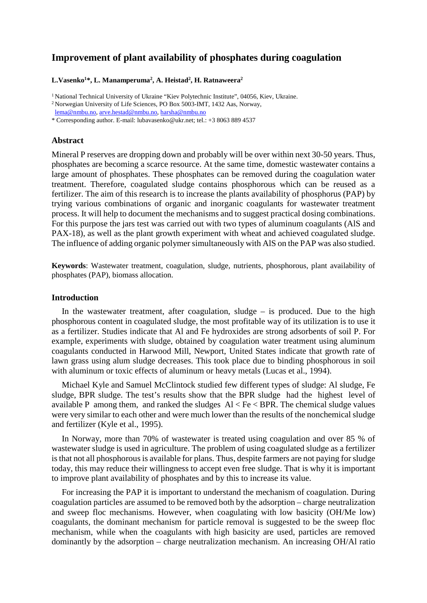# **Improvement of plant availability of phosphates during coagulation**

### $L.Vasenko<sup>1</sup>*, L. Manamperuma<sup>2</sup>, A. Heistad<sup>2</sup>, H. Ratnaweera<sup>2</sup>$

<sup>1</sup> National Technical University of Ukraine "Kiev Polytechnic Institute", 04056, Kiev, Ukraine.

2 Norwegian University of Life Sciences, PO Box 5003-IMT, 1432 Aas, Norway,

\* Corresponding author. E-mail: [lubavasenko@ukr.net;](mailto:lubavasenko@ukr.net) tel.: +3 8063 889 4537

### **Abstract**

Mineral P reserves are dropping down and probably will be over within next 30-50 years. Thus, phosphates are becoming a scarce resource. At the same time, domestic wastewater contains a large amount of phosphates. These phosphates can be removed during the coagulation water treatment. Therefore, coagulated sludge contains phosphorous which can be reused as a fertilizer. The aim of this research is to increase the plants availability of phosphorus (PAP) by trying various combinations of organic and inorganic coagulants for wastewater treatment process. It will help to document the mechanisms and to suggest practical dosing combinations. For this purpose the jars test was carried out with two types of aluminum coagulants (AlS and PAX-18), as well as the plant growth experiment with wheat and achieved coagulated sludge. The influence of adding organic polymer simultaneously with AlS on the PAP was also studied.

**Keywords**: Wastewater treatment, coagulation, sludge, nutrients, phosphorous, plant availability of phosphates (PAP), biomass allocation.

### **Introduction**

In the wastewater treatment, after coagulation, sludge – is produced. Due to the high phosphorous content in coagulated sludge, the most profitable way of its utilization is to use it as a fertilizer. Studies indicate that Al and Fe hydroxides are strong adsorbents of soil P. For example, experiments with sludge, obtained by coagulation water treatment using aluminum coagulants conducted in Harwood Mill, Newport, United States indicate that growth rate of lawn grass using alum sludge decreases. This took place due to binding phosphorous in soil with aluminum or toxic effects of aluminum or heavy metals (Lucas et al., 1994).

Michael Kyle and Samuel McClintock studied few different types of sludge: Al sludge, Fe sludge, BPR sludge. The test's results show that the BPR sludge had the highest level of available P among them, and ranked the sludges  $Al < Fe < BPR$ . The chemical sludge values were very similar to each other and were much lower than the results of the nonchemical sludge and fertilizer (Kyle et al., 1995).

In Norway, more than 70% of wastewater is treated using coagulation and over 85 % of wastewater sludge is used in agriculture. The problem of using coagulated sludge as a fertilizer is that not all phosphorous is available for plans. Thus, despite farmers are not paying for sludge today, this may reduce their willingness to accept even free sludge. That is why it is important to improve plant availability of phosphates and by this to increase its value.

For increasing the PAP it is important to understand the mechanism of coagulation. During coagulation particles are assumed to be removed both by the adsorption – charge neutralization and sweep floc mechanisms. However, when coagulating with low basicity (OH/Me low) coagulants, the dominant mechanism for particle removal is suggested to be the sweep floc mechanism, while when the coagulants with high basicity are used, particles are removed dominantly by the adsorption – charge neutralization mechanism. An increasing OH/Al ratio

[lema@nmbu.no,](mailto:lema@nmbu.no) [arve.hestad@nmbu.no,](mailto:arve.hestad@nmbu.no) [harsha@nmbu.no](mailto:harsha@nmbu.no)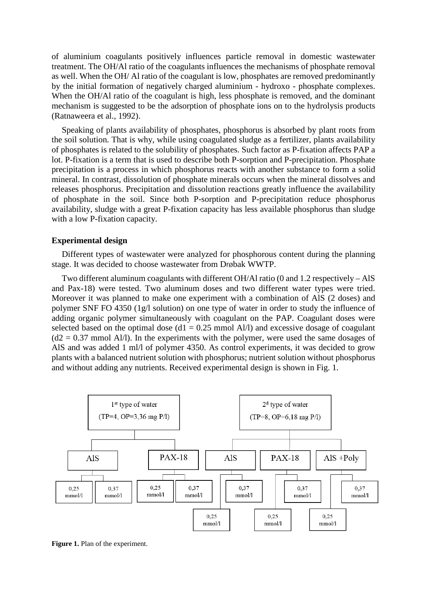of aluminium coagulants positively influences particle removal in domestic wastewater treatment. The OH/Al ratio of the coagulants influences the mechanisms of phosphate removal as well. When the OH/ Al ratio of the coagulant is low, phosphates are removed predominantly by the initial formation of negatively charged aluminium - hydroxo - phosphate complexes. When the OH/Al ratio of the coagulant is high, less phosphate is removed, and the dominant mechanism is suggested to be the adsorption of phosphate ions on to the hydrolysis products (Ratnaweera et al., 1992).

Speaking of plants availability of phosphates, phosphorus is absorbed by plant roots from the soil solution. That is why, while using coagulated sludge as a fertilizer, plants availability of phosphates is related to the solubility of phosphates. Such factor as P-fixation affects PAP a lot. P-fixation is a term that is used to describe both P-sorption and P-precipitation. Phosphate precipitation is a process in which phosphorus reacts with another substance to form a solid mineral. In contrast, dissolution of phosphate minerals occurs when the mineral dissolves and releases phosphorus. Precipitation and dissolution reactions greatly influence the availability of phosphate in the soil. Since both P-sorption and P-precipitation reduce phosphorus availability, sludge with a great P-fixation capacity has less available phosphorus than sludge with a low P-fixation capacity.

# **Experimental design**

Different types of wastewater were analyzed for phosphorous content during the planning stage. It was decided to choose wastewater from Drøbak WWTP.

Two different aluminum coagulants with different OH/Al ratio (0 and 1.2 respectively – AlS and Pax-18) were tested. Two aluminum doses and two different water types were tried. Moreover it was planned to make one experiment with a combination of AlS (2 doses) and polymer SNF FO 4350 (1g/l solution) on one type of water in order to study the influence of adding organic polymer simultaneously with coagulant on the PAP. Coagulant doses were selected based on the optimal dose  $(d1 = 0.25 \text{ mmol Al/l})$  and excessive dosage of coagulant  $(d2 = 0.37$  mmol Al/l). In the experiments with the polymer, were used the same dosages of AlS and was added 1 ml/l of polymer 4350. As control experiments, it was decided to grow plants with a balanced nutrient solution with phosphorus; nutrient solution without phosphorus and without adding any nutrients. Received experimental design is shown in Fig. 1.



**Figure 1.** Plan of the experiment.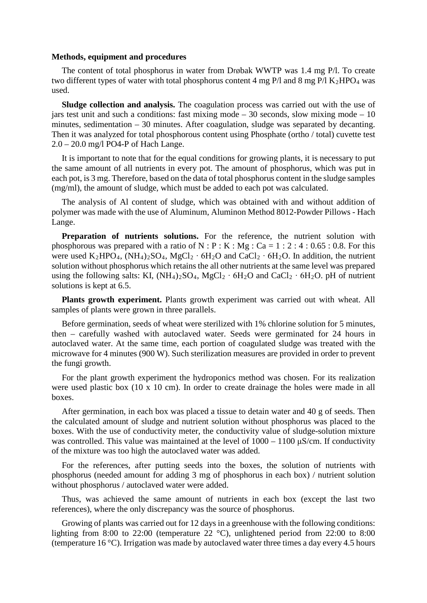### **Methods, equipment and procedures**

The content of total phosphorus in water from Drøbak WWTP was 1.4 mg P/l. To create two different types of water with total phosphorus content 4 mg  $P$ /l and 8 mg  $P$ /l K<sub>2</sub>HPO<sub>4</sub> was used.

**Sludge collection and analysis.** The coagulation process was carried out with the use of jars test unit and such a conditions: fast mixing mode – 30 seconds, slow mixing mode –  $10$ minutes, sedimentation – 30 minutes. After coagulation, sludge was separated by decanting. Then it was analyzed for total phosphorous content using Phosphate (ortho / total) cuvette test 2.0 – 20.0 mg/l PO4-P of Hach Lange.

It is important to note that for the equal conditions for growing plants, it is necessary to put the same amount of all nutrients in every pot. The amount of phosphorus, which was put in each pot, is 3 mg. Therefore, based on the data of total phosphorus content in the sludge samples (mg/ml), the amount of sludge, which must be added to each pot was calculated.

The analysis of Al content of sludge, which was obtained with and without addition of polymer was made with the use of [Aluminum, Aluminon Method 8012-Powder Pillows -](http://www.hach.com/asset-get.download.jsa?id=7639983675) Hach Lange.

Preparation of nutrients solutions. For the reference, the nutrient solution with phosphorous was prepared with a ratio of  $N : P : K : Mg : Ca = 1 : 2 : 4 : 0.65 : 0.8$ . For this were used K<sub>2</sub>HPO<sub>4</sub>, (NH<sub>4</sub>)<sub>2</sub>SO<sub>4</sub>, MgCl<sub>2</sub> ⋅ 6H<sub>2</sub>O and CaCl<sub>2</sub> ⋅ 6H<sub>2</sub>O. In addition, the nutrient solution without phosphorus which retains the all other nutrients at the same level was prepared using the following salts: KI,  $(NH_4)_2SO_4$ ,  $MgCl_2 \cdot 6H_2O$  and  $CaCl_2 \cdot 6H_2O$ . pH of nutrient solutions is kept at 6.5.

**Plants growth experiment.** Plants growth experiment was carried out with wheat. All samples of plants were grown in three parallels.

Before germination, seeds of wheat were sterilized with 1% chlorine solution for 5 minutes, then – carefully washed with autoclaved water. Seeds were germinated for 24 hours in autoclaved water. At the same time, each portion of coagulated sludge was treated with the microwave for 4 minutes (900 W). Such sterilization measures are provided in order to prevent the fungi growth.

For the plant growth experiment the hydroponics method was chosen. For its realization were used plastic box (10 x 10 cm). In order to create drainage the holes were made in all boxes.

After germination, in each box was placed a tissue to detain water and 40 g of seeds. Then the calculated amount of sludge and nutrient solution without phosphorus was placed to the boxes. With the use of conductivity meter, the conductivity value of sludge-solution mixture was controlled. This value was maintained at the level of  $1000 - 1100 \mu S/cm$ . If conductivity of the mixture was too high the autoclaved water was added.

For the references, after putting seeds into the boxes, the solution of nutrients with phosphorus (needed amount for adding 3 mg of phosphorus in each box) / nutrient solution without phosphorus / autoclaved water were added.

Thus, was achieved the same amount of nutrients in each box (except the last two references), where the only discrepancy was the source of phosphorus.

Growing of plants was carried out for 12 days in a greenhouse with the following conditions: lighting from 8:00 to 22:00 (temperature 22 °C), unlightened period from 22:00 to 8:00 (temperature 16 °C). Irrigation was made by autoclaved water three times a day every 4.5 hours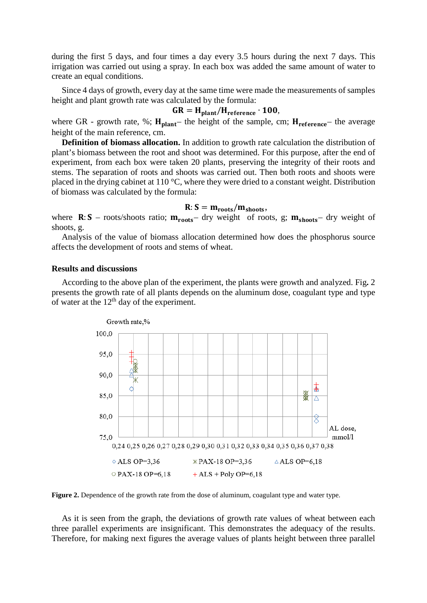during the first 5 days, and four times a day every 3.5 hours during the next 7 days. This irrigation was carried out using a spray. In each box was added the same amount of water to create an equal conditions.

Since 4 days of growth, every day at the same time were made the measurements of samples height and plant growth rate was calculated by the formula:

$$
GR = Hplant/Hreference \cdot 100,
$$

where GR - growth rate, %;  $H_{\text{plant}}$  the height of the sample, cm;  $H_{\text{reference}}$  the average height of the main reference, cm.

**Definition of biomass allocation.** In addition to growth rate calculation the distribution of plant's biomass between the root and shoot was determined. For this purpose, after the end of experiment, from each box were taken 20 plants, preserving the integrity of their roots and stems. The separation of roots and shoots was carried out. Then both roots and shoots were placed in the drying cabinet at 110 °C, where they were dried to a constant weight. Distribution of biomass was calculated by the formula:

# $R: S = m_{roots}/m_{shots},$

where  $\mathbf{R} : \mathbf{S}$  – roots/shoots ratio;  $\mathbf{m}_{\text{roots}}$  – dry weight of roots, g;  $\mathbf{m}_{\text{shots}}$  – dry weight of shoots, g.

Analysis of the value of biomass allocation determined how does the phosphorus source affects the development of roots and stems of wheat.

# **Results and discussions**

According to the above plan of the experiment, the plants were growth and analyzed. Fig**.** 2 presents the growth rate of all plants depends on the aluminum dose, coagulant type and type of water at the 12<sup>th</sup> day of the experiment.



**Figure 2.** Dependence of the growth rate from the dose of aluminum, coagulant type and water type.

As it is seen from the graph, the deviations of growth rate values of wheat between each three parallel experiments are insignificant. This demonstrates the adequacy of the results. Therefore, for making next figures the average values of plants height between three parallel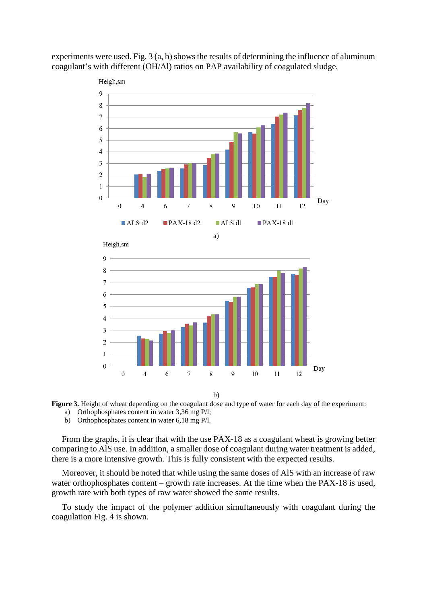

experiments were used. Fig.  $3(a, b)$  shows the results of determining the influence of aluminum coagulant's with different (OH/Al) ratios on PAP availability of coagulated sludge.

b)



- a) Orthophosphates content in water 3,36 mg P/l;
	- b) Orthophosphates content in water 6,18 mg P/l.

From the graphs, it is clear that with the use PAX-18 as a coagulant wheat is growing better comparing to AlS use. In addition, a smaller dose of coagulant during water treatment is added, there is a more intensive growth. This is fully consistent with the expected results.

Moreover, it should be noted that while using the same doses of AlS with an increase of raw water orthophosphates content – growth rate increases. At the time when the PAX-18 is used, growth rate with both types of raw water showed the same results.

To study the impact of the polymer addition simultaneously with coagulant during the coagulation Fig. 4 is shown.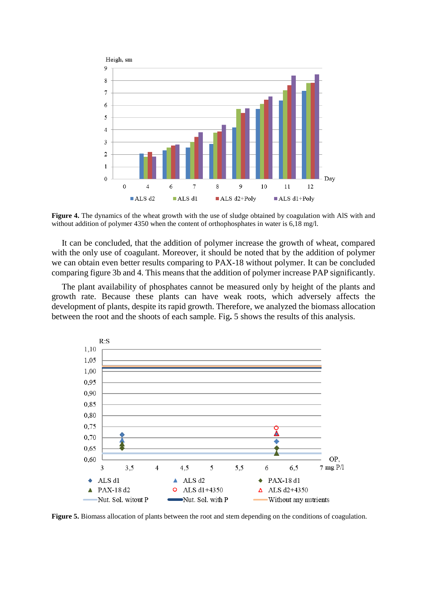

**Figure 4.** The dynamics of the wheat growth with the use of sludge obtained by coagulation with AlS with and without addition of polymer 4350 when the content of orthophosphates in water is 6,18 mg/l.

It can be concluded, that the addition of polymer increase the growth of wheat, compared with the only use of coagulant. Moreover, it should be noted that by the addition of polymer we can obtain even better results comparing to PAX-18 without polymer. It can be concluded comparing figure 3b and 4. This means that the addition of polymer increase PAP significantly.

The plant availability of phosphates cannot be measured only by height of the plants and growth rate. Because these plants can have weak roots, which adversely affects the development of plants, despite its rapid growth. Therefore, we analyzed the biomass allocation between the root and the shoots of each sample. Fig**.** 5 shows the results of this analysis.



**Figure 5.** Biomass allocation of plants between the root and stem depending on the conditions of coagulation.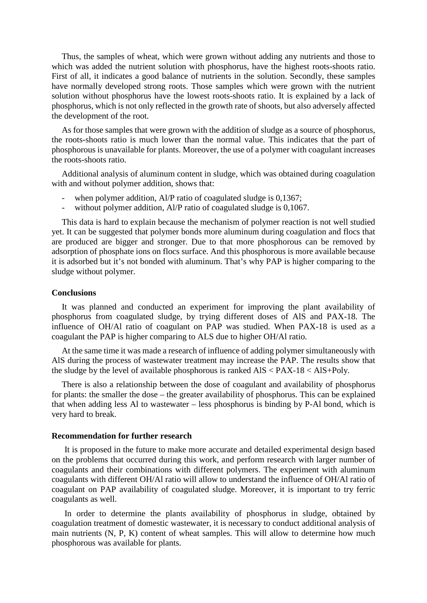Thus, the samples of wheat, which were grown without adding any nutrients and those to which was added the nutrient solution with phosphorus, have the highest roots-shoots ratio. First of all, it indicates a good balance of nutrients in the solution. Secondly, these samples have normally developed strong roots. Those samples which were grown with the nutrient solution without phosphorus have the lowest roots-shoots ratio. It is explained by a lack of phosphorus, which is not only reflected in the growth rate of shoots, but also adversely affected the development of the root.

As for those samples that were grown with the addition of sludge as a source of phosphorus, the roots-shoots ratio is much lower than the normal value. This indicates that the part of phosphorous is unavailable for plants. Moreover, the use of a polymer with coagulant increases the roots-shoots ratio.

Additional analysis of aluminum content in sludge, which was obtained during coagulation with and without polymer addition, shows that:

- when polymer addition, Al/P ratio of coagulated sludge is 0,1367;
- without polymer addition, Al/P ratio of coagulated sludge is 0,1067.

This data is hard to explain because the mechanism of polymer reaction is not well studied yet. It can be suggested that polymer bonds more aluminum during coagulation and flocs that are produced are bigger and stronger. Due to that more phosphorous can be removed by adsorption of phosphate ions on flocs surface. And this phosphorous is more available because it is adsorbed but it's not bonded with aluminum. That's why PAP is higher comparing to the sludge without polymer.

# **Conclusions**

It was planned and conducted an experiment for improving the plant availability of phosphorus from coagulated sludge, by trying different doses of AlS and PAX-18. The influence of OH/Al ratio of coagulant on PAP was studied. When PAX-18 is used as a coagulant the PAP is higher comparing to ALS due to higher OH/Al ratio.

At the same time it was made a research of influence of adding polymer simultaneously with AlS during the process of wastewater treatment may increase the PAP. The results show that the sludge by the level of available phosphorous is ranked AlS < PAX-18 < AlS+Poly.

There is also a relationship between the dose of coagulant and availability of phosphorus for plants: the smaller the dose – the greater availability of phosphorus. This can be explained that when adding less Al to wastewater – less phosphorus is binding by P-Al bond, which is very hard to break.

### **Recommendation for further research**

It is proposed in the future to make more accurate and detailed experimental design based on the problems that occurred during this work, and perform research with larger number of coagulants and their combinations with different polymers. The experiment with aluminum coagulants with different OH/Al ratio will allow to understand the influence of OH/Al ratio of coagulant on PAP availability of coagulated sludge. Moreover, it is important to try ferric coagulants as well.

In order to determine the plants availability of phosphorus in sludge, obtained by coagulation treatment of domestic wastewater, it is necessary to conduct additional analysis of main nutrients (N, P, K) content of wheat samples. This will allow to determine how much phosphorous was available for plants.